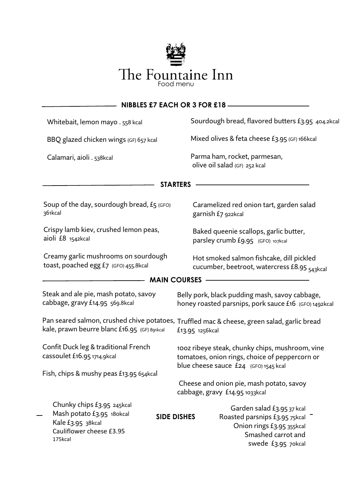

| <b>NIBBLES £7 EACH OR 3 FOR £18 -</b>                                                                                                                          |                                                                                                                                                            |
|----------------------------------------------------------------------------------------------------------------------------------------------------------------|------------------------------------------------------------------------------------------------------------------------------------------------------------|
| Whitebait, lemon mayo . 558 kcal                                                                                                                               | Sourdough bread, flavored butters £3.95 404.2kcal                                                                                                          |
| BBQ glazed chicken wings (GF) 657 kcal                                                                                                                         | Mixed olives & feta cheese £3.95 (GF) 166kcal                                                                                                              |
| Calamari, aioli . 538kcal                                                                                                                                      | Parma ham, rocket, parmesan,<br>olive oil salad (GF) 252 kcal                                                                                              |
| <b>STARTERS</b>                                                                                                                                                |                                                                                                                                                            |
| Soup of the day, sourdough bread, £5 (GFO)<br>361kcal                                                                                                          | Caramelized red onion tart, garden salad<br>garnish £7 922kcal                                                                                             |
| Crispy lamb kiev, crushed lemon peas,<br>aioli £8 1542kcal                                                                                                     | Baked queenie scallops, garlic butter,<br>parsley crumb £9.95 (GFO) 107kcal                                                                                |
| Creamy garlic mushrooms on sourdough<br>toast, poached egg £7 (GFO) 455.8kcal                                                                                  | Hot smoked salmon fishcake, dill pickled<br>cucumber, beetroot, watercress £8.95 543kcal                                                                   |
| <b>MAIN COURSES</b>                                                                                                                                            |                                                                                                                                                            |
| Steak and ale pie, mash potato, savoy<br>cabbage, gravy £14.95 569.8kcal                                                                                       | Belly pork, black pudding mash, savoy cabbage,<br>honey roasted parsnips, pork sauce £16 (GFO) 1492kcal                                                    |
| Pan seared salmon, crushed chive potatoes, Truffled mac & cheese, green salad, garlic bread<br>kale, prawn beurre blanc £16.95 (GF) 891kcal<br>£13.95 1256kcal |                                                                                                                                                            |
| Confit Duck leg & traditional French<br>cassoulet £16.95 1714.9kcal                                                                                            | 100z ribeye steak, chunky chips, mushroom, vine<br>tomatoes, onion rings, choice of peppercorn or                                                          |
| Fish, chips & mushy peas £13.95 654kcal                                                                                                                        | blue cheese sauce $£24$ (GFO) 1545 kcal                                                                                                                    |
|                                                                                                                                                                | Cheese and onion pie, mash potato, savoy<br>cabbage, gravy £14.95 1033kcal                                                                                 |
| Chunky chips £3.95 245kcal<br>Mash potato £3.95 18 okcal<br>Kale £3.95 38kcal<br>Cauliflower cheese £3.95<br>175kcal                                           | Garden salad £3.95 37 kcal<br><b>SIDE DISHES</b><br>Roasted parsnips £3.95 75kcal<br>Onion rings £3.95 355kcal<br>Smashed carrot and<br>swede £3.95 70kcal |